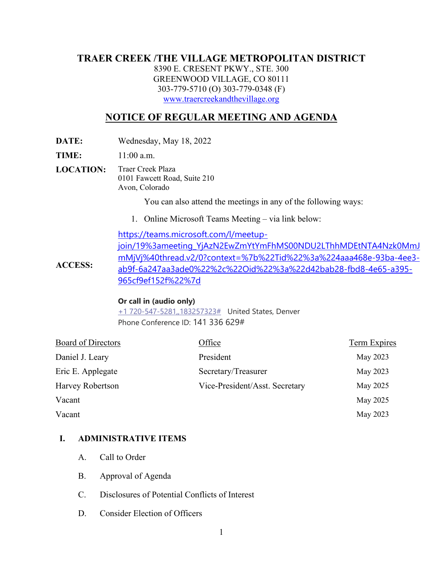# **TRAER CREEK /THE VILLAGE METROPOLITAN DISTRICT**

8390 E. CRESENT PKWY., STE. 300 GREENWOOD VILLAGE, CO 80111 303-779-5710 (O) 303-779-0348 (F) [www.traercreekandthevillage.org](http://www.traercreekandthevillage.org/)

# **NOTICE OF REGULAR MEETING AND AGENDA**

**DATE:** Wednesday, May 18, 2022

**TIME:** 11:00 a.m.

**LOCATION:** Traer Creek Plaza 0101 Fawcett Road, Suite 210 Avon, Colorado

You can also attend the meetings in any of the following ways:

1. Online Microsoft Teams Meeting – via link below:

**ACCESS:** [https://teams.microsoft.com/l/meetup](https://teams.microsoft.com/l/meetup-join/19%3ameeting_YjAzN2EwZmYtYmFhMS00NDU2LThhMDEtNTA4Nzk0MmJmMjVj%40thread.v2/0?context=%7b%22Tid%22%3a%224aaa468e-93ba-4ee3-ab9f-6a247aa3ade0%22%2c%22Oid%22%3a%22d42bab28-fbd8-4e65-a395-965cf9ef152f%22%7d)[join/19%3ameeting\\_YjAzN2EwZmYtYmFhMS00NDU2LThhMDEtNTA4Nzk0MmJ](https://teams.microsoft.com/l/meetup-join/19%3ameeting_YjAzN2EwZmYtYmFhMS00NDU2LThhMDEtNTA4Nzk0MmJmMjVj%40thread.v2/0?context=%7b%22Tid%22%3a%224aaa468e-93ba-4ee3-ab9f-6a247aa3ade0%22%2c%22Oid%22%3a%22d42bab28-fbd8-4e65-a395-965cf9ef152f%22%7d) [mMjVj%40thread.v2/0?context=%7b%22Tid%22%3a%224aaa468e-93ba-4ee3](https://teams.microsoft.com/l/meetup-join/19%3ameeting_YjAzN2EwZmYtYmFhMS00NDU2LThhMDEtNTA4Nzk0MmJmMjVj%40thread.v2/0?context=%7b%22Tid%22%3a%224aaa468e-93ba-4ee3-ab9f-6a247aa3ade0%22%2c%22Oid%22%3a%22d42bab28-fbd8-4e65-a395-965cf9ef152f%22%7d) [ab9f-6a247aa3ade0%22%2c%22Oid%22%3a%22d42bab28-fbd8-4e65-a395-](https://teams.microsoft.com/l/meetup-join/19%3ameeting_YjAzN2EwZmYtYmFhMS00NDU2LThhMDEtNTA4Nzk0MmJmMjVj%40thread.v2/0?context=%7b%22Tid%22%3a%224aaa468e-93ba-4ee3-ab9f-6a247aa3ade0%22%2c%22Oid%22%3a%22d42bab28-fbd8-4e65-a395-965cf9ef152f%22%7d) [965cf9ef152f%22%7d](https://teams.microsoft.com/l/meetup-join/19%3ameeting_YjAzN2EwZmYtYmFhMS00NDU2LThhMDEtNTA4Nzk0MmJmMjVj%40thread.v2/0?context=%7b%22Tid%22%3a%224aaa468e-93ba-4ee3-ab9f-6a247aa3ade0%22%2c%22Oid%22%3a%22d42bab28-fbd8-4e65-a395-965cf9ef152f%22%7d)

#### **Or call in (audio only)**

[+1 720-547-5281,,183257323#](tel:+17205475281,,183257323#%20) United States, Denver Phone Conference ID: 141 336 629#

| Board of Directors | Office                         | Term Expires |
|--------------------|--------------------------------|--------------|
| Daniel J. Leary    | President                      | May 2023     |
| Eric E. Applegate  | Secretary/Treasurer            | May 2023     |
| Harvey Robertson   | Vice-President/Asst. Secretary | May 2025     |
| Vacant             |                                | May 2025     |
| Vacant             |                                | May 2023     |
|                    |                                |              |

### **I. ADMINISTRATIVE ITEMS**

- A. Call to Order
- B. Approval of Agenda
- C. Disclosures of Potential Conflicts of Interest
- D. Consider Election of Officers